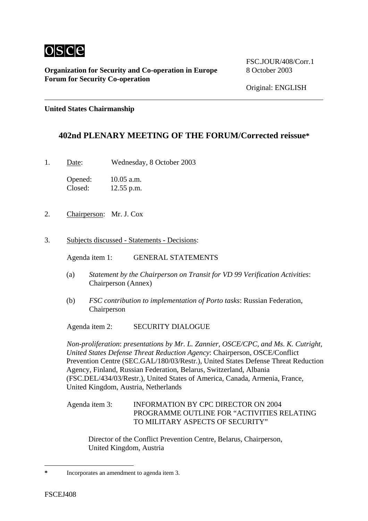

**Organization for Security and Co-operation in Europe** 8 October 2003 **Forum for Security Co-operation**

FSC.JOUR/408/Corr.1

Original: ENGLISH

**United States Chairmanship** 

## **402nd PLENARY MEETING OF THE FORUM/Corrected reissue[\\*](#page-0-0)**

1. Date: Wednesday, 8 October 2003

Opened: 10.05 a.m. Closed: 12.55 p.m.

- 2. Chairperson: Mr. J. Cox
- 3. Subjects discussed Statements Decisions:

Agenda item 1: GENERAL STATEMENTS

- (a) *Statement by the Chairperson on Transit for VD 99 Verification Activities*: Chairperson (Annex)
- (b) *FSC contribution to implementation of Porto tasks*: Russian Federation, Chairperson

Agenda item 2: SECURITY DIALOGUE

*Non-proliferation*: *presentations by Mr. L. Zannier, OSCE/CPC, and Ms. K. Cutright, United States Defense Threat Reduction Agency*: Chairperson, OSCE/Conflict Prevention Centre (SEC.GAL/180/03/Restr.), United States Defense Threat Reduction Agency, Finland, Russian Federation, Belarus, Switzerland, Albania (FSC.DEL/434/03/Restr.), United States of America, Canada, Armenia, France, United Kingdom, Austria, Netherlands

Agenda item 3: INFORMATION BY CPC DIRECTOR ON 2004 PROGRAMME OUTLINE FOR "ACTIVITIES RELATING TO MILITARY ASPECTS OF SECURITY"

Director of the Conflict Prevention Centre, Belarus, Chairperson, United Kingdom, Austria

 $\overline{a}$ 

<span id="page-0-0"></span>**<sup>\*</sup>** Incorporates an amendment to agenda item 3.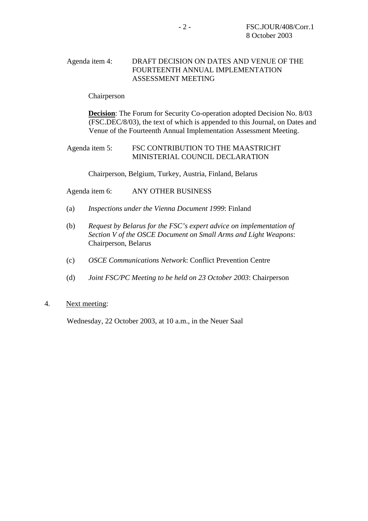## Agenda item 4: DRAFT DECISION ON DATES AND VENUE OF THE FOURTEENTH ANNUAL IMPLEMENTATION ASSESSMENT MEETING

Chairperson

**Decision**: The Forum for Security Co-operation adopted Decision No. 8/03 (FSC.DEC/8/03), the text of which is appended to this Journal, on Dates and Venue of the Fourteenth Annual Implementation Assessment Meeting.

Agenda item 5: FSC CONTRIBUTION TO THE MAASTRICHT MINISTERIAL COUNCIL DECLARATION

Chairperson, Belgium, Turkey, Austria, Finland, Belarus

Agenda item 6: ANY OTHER BUSINESS

- (a) *Inspections under the Vienna Document 1999*: Finland
- (b) *Request by Belarus for the FSC's expert advice on implementation of Section V of the OSCE Document on Small Arms and Light Weapons*: Chairperson, Belarus
- (c) *OSCE Communications Network*: Conflict Prevention Centre
- (d) *Joint FSC/PC Meeting to be held on 23 October 2003*: Chairperson
- 4. Next meeting:

Wednesday, 22 October 2003, at 10 a.m., in the Neuer Saal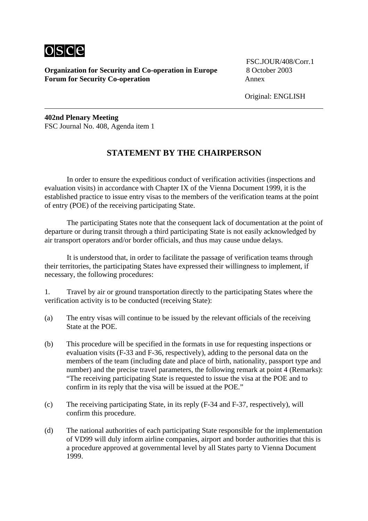

**Organization for Security and Co-operation in Europe** 8 October 2003 **Forum for Security Co-operation Annex** 

FSC.JOUR/408/Corr.1

Original: ENGLISH

**402nd Plenary Meeting**  FSC Journal No. 408, Agenda item 1

## **STATEMENT BY THE CHAIRPERSON**

In order to ensure the expeditious conduct of verification activities (inspections and evaluation visits) in accordance with Chapter IX of the Vienna Document 1999, it is the established practice to issue entry visas to the members of the verification teams at the point of entry (POE) of the receiving participating State.

The participating States note that the consequent lack of documentation at the point of departure or during transit through a third participating State is not easily acknowledged by air transport operators and/or border officials, and thus may cause undue delays.

It is understood that, in order to facilitate the passage of verification teams through their territories, the participating States have expressed their willingness to implement, if necessary, the following procedures:

1. Travel by air or ground transportation directly to the participating States where the verification activity is to be conducted (receiving State):

- (a) The entry visas will continue to be issued by the relevant officials of the receiving State at the POE.
- (b) This procedure will be specified in the formats in use for requesting inspections or evaluation visits (F-33 and F-36, respectively), adding to the personal data on the members of the team (including date and place of birth, nationality, passport type and number) and the precise travel parameters, the following remark at point 4 (Remarks): "The receiving participating State is requested to issue the visa at the POE and to confirm in its reply that the visa will be issued at the POE."
- (c) The receiving participating State, in its reply (F-34 and F-37, respectively), will confirm this procedure.
- (d) The national authorities of each participating State responsible for the implementation of VD99 will duly inform airline companies, airport and border authorities that this is a procedure approved at governmental level by all States party to Vienna Document 1999.